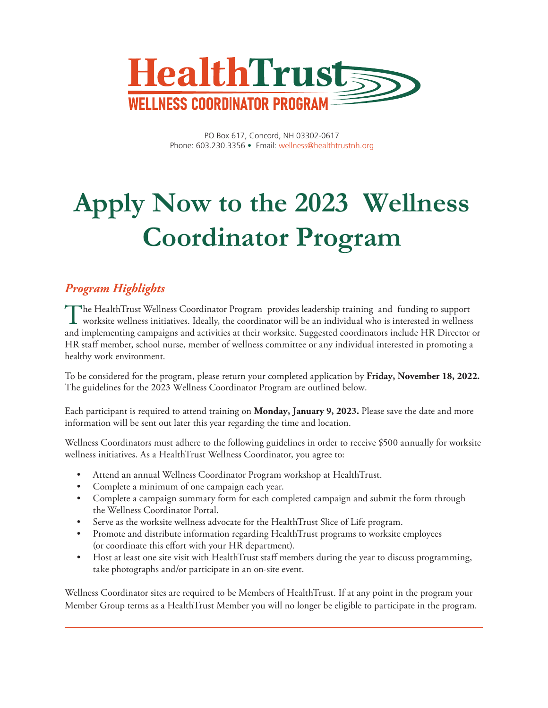

PO Box 617, Concord, NH 03302-0617 Phone: 603.230.3356 • Email: wellness@healthtrustnh.org

# **Apply Now to the 2023 Wellness Coordinator Program**

### *Program Highlights*

The HealthTrust Wellness Coordinator Program provides leadership training and funding to support worksite wellness initiatives. Ideally, the coordinator will be an individual who is interested in wellness and implementing campaigns and activities at their worksite. Suggested coordinators include HR Director or HR staff member, school nurse, member of wellness committee or any individual interested in promoting a healthy work environment.

To be considered for the program, please return your completed application by **Friday, November 18, 2022.**  The guidelines for the 2023 Wellness Coordinator Program are outlined below.

Each participant is required to attend training on **Monday, January 9, 2023.** Please save the date and more information will be sent out later this year regarding the time and location.

Wellness Coordinators must adhere to the following guidelines in order to receive \$500 annually for worksite wellness initiatives. As a HealthTrust Wellness Coordinator, you agree to:

- Attend an annual Wellness Coordinator Program workshop at HealthTrust.
- Complete a minimum of one campaign each year.
- Complete a campaign summary form for each completed campaign and submit the form through the Wellness Coordinator Portal.
- Serve as the worksite wellness advocate for the HealthTrust Slice of Life program.
- Promote and distribute information regarding HealthTrust programs to worksite employees (or coordinate this effort with your HR department).
- Host at least one site visit with HealthTrust staff members during the year to discuss programming, take photographs and/or participate in an on-site event.

Wellness Coordinator sites are required to be Members of HealthTrust. If at any point in the program your Member Group terms as a HealthTrust Member you will no longer be eligible to participate in the program.